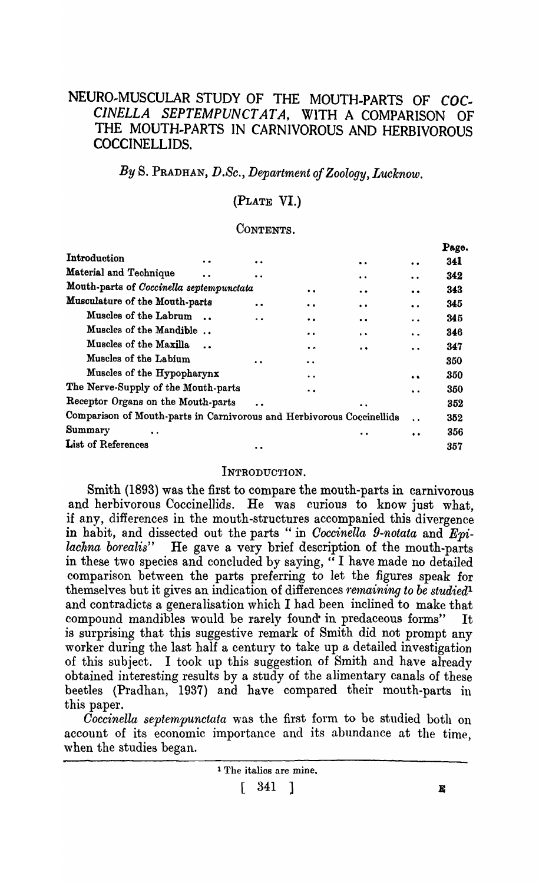# NEURO-MUSCULAR STUDY OF THE MOUTH.PARTS OF COC. CINELLA SEPTEMPUNCTATA. WITH A COMPARISON OF THE MOUTH.PARTS IN CARNIVOROUS AND HERBIVOROUS COCCINELLIDS.

*By* S. PRADHAN, *D.Se., Department of Zoology, Lucknow.* 

# (PLATE VI.)

## CONTENTS.

|                                                                         |                     |                      |                  |                      | Page. |
|-------------------------------------------------------------------------|---------------------|----------------------|------------------|----------------------|-------|
| Introduction<br>$\bullet$                                               | $\bullet$           |                      | $\bullet$        | $\bullet\bullet$     | 341   |
| Material and Technique                                                  | $\bullet$           |                      | $\bullet$        | $\ddot{\phantom{a}}$ | 342   |
| Mouth-parts of Coccinella septempunctata<br>$\ddot{\phantom{a}}$<br>. . |                     |                      |                  | $^{\bullet}$         | 343   |
| Musculature of the Mouth-parts                                          | . .                 | $\bullet$            | $\bullet$        | $\bullet$            | 345   |
| Muscles of the Labrum                                                   | . .                 | $\bullet$            | . .              | $\ddot{\phantom{a}}$ | 345   |
| Muscles of the Mandible                                                 |                     | $\cdot$ .            | $\cdot$ .        | $\ddot{\bullet}$     | 346   |
| Muscles of the Maxilla                                                  |                     | $\bullet$ $\bullet$  |                  | $\ddot{\phantom{a}}$ | 347   |
| Muscles of the Labium                                                   | $\bullet$           | $\ddot{\bullet}$     |                  |                      | 350   |
| Muscles of the Hypopharynx                                              |                     | $\ddot{\phantom{a}}$ |                  | $\bullet$            | 350   |
| The Nerve-Supply of the Mouth-parts                                     |                     | $\ddot{\phantom{a}}$ |                  |                      | 350   |
| Receptor Organs on the Mouth-parts                                      |                     |                      | $\bullet\bullet$ |                      | 352   |
| Comparison of Mouth-parts in Carnivorous and Herbivorous Coccinellids   |                     |                      |                  | $\ddot{\phantom{1}}$ | 352   |
| Summary                                                                 |                     |                      |                  | $\bullet$            | 356   |
| List of References                                                      | $\bullet$ $\bullet$ |                      |                  |                      | 357   |

## INTRODUCTION.

Smith (1893) was the first to compare the mouth-parts in carnivorous and herbivorous Coccinellids. He was curious to know just what, if any, differences in the mouth -structures accompanied this divergence in habit, and dissected out the parts "in *Coccinella 9-notata* and *Epi-*<br>lachna borealis" He gave a very brief description of the mouth-parts He gave a very brief description of the mouth-parts in these two species and concluded by saying, "I have made no detailed comparison between the parts preferring to let the figures speak for themselves but it gives an indication of differences *remaining to be studied*<sup>1</sup> and contradicts a generalisation which I had been inclined to make that compound mandibles would be rarely found'in predaceous forms" It is surprising that this suggestive remark of Smith did not prompt any worker during the last half a century to take up a detailed investigation of this subject. I took up this suggestion of Smith and have already obtained interesting results by a study of the alimentary canals of these beetles (Pradhan, 1937) and have compared their mouth-parts in this paper.

*Coccinella septempunctata* was the first form to be studied both on account of its economic importance and its abundance at the time, when the studies began.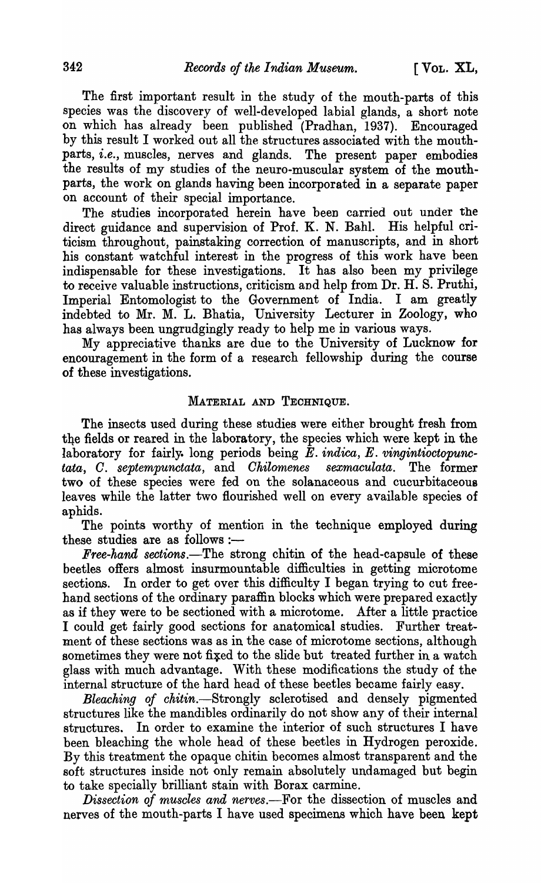The first important result in the study of the mouth-parts of this species was the discovery of well-developed labial glands, a short note on which has already been published (Pradhan, 1937). Encouraged by this result I worked out all the structures associated with the mouthparts, *i.e.,* muscles, nerves and glands. The present paper embodies the results of my studies of the neuro-muscular system of the mouthparts, the work on glands having been incorporated in a separate paper on account of their special importance.

The studies incorporated herein have been carried out under the direct guidance and supervision of Prof. K. N. Bahl. His helpful criticism throughout, painstaking correction of manuscripts, and in short his constant watchful interest in the progress of this work have been indispensable for these investigations. It has also been my privilege to receive valuable instructions, criticism and help from Dr. H. S. Pruthi, Imperial Entomologist to the Government of India. I am greatly indebted to Mr. M. L. Bhatia, University Lecturer in Zoology, who has always been ungrudgingly ready to help me in various ways.

My appreciative thanks are due to the University of Lucknow for encouragement in the form of a research fellowship during the course of these investigations.

#### MATERIAL AND TECHNIQUE.

The insects used during these studies were either brought fresh from the fields or reared in the laboratory, the species which were kept in the laboratory for fairly long periods being  $\bar{E}$ . *indica*,  $E$ . *vingintioctopunctata, O. septempunctata,* and *Ohilomenes sexmaculata.* The former two of these species were fed on the solanaceous and cucurbitaceous leaves while the latter two flourished well on every available species of aphids.

The points worthy of mention in the technique employed during these studies are as follows  $:$   $-$ 

Free-hand sections. The strong chitin of the head-capsule of these beetles offers almost insurmountable difficulties in getting microtome sections. In order to get over this difficulty I began trying to cut freehand sections of the ordinary paraffin blocks which were prepared exactly as if they were to be sectioned with a microtome. After a little practice I could get fairly good sections for anatomical studies. Further treatment of these sections was as in the case of microtome sections, although sometimes they were not fixed to the slide but treated further in a watch glass with much advantage. With these modifications the study of the internal structure of the hard head of these beetles became fairly easy.

*Bleaching of chitin.-Strongly* sclerotised and densely pigmented structures like the mandibles ordinarily do not show any of their internal structures. In order to examine the interior of such structures I have been bleaching the whole head of these beetles in Hydrogen peroxide. By this treatment the opaque chitin becomes almost transparent and the soft structures inside not only remain absolutely undamaged but begin to take specially brilliant stain with Borax carmine.

*Dissection of muscles and nerves*.—For the dissection of muscles and nerves of the mouth-parts I have used specimens which have been kept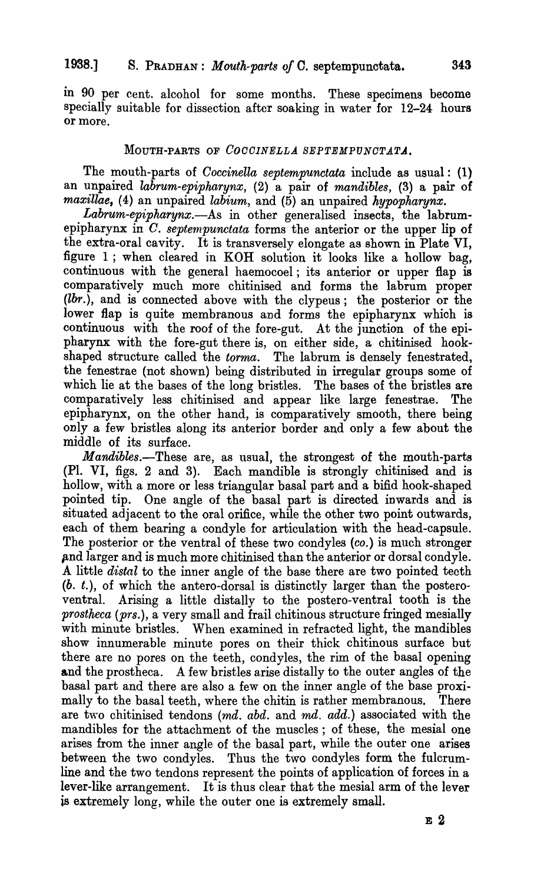or more.

in 90 per cent. alcohol for some months. These specimens become specially suitable for dissection after soaking in water for 12-24 hours

## MOUTH-PARTS OF *COCCINELLA SEPTEMPUNCTATA*.

The mouth-parts of *Coccinella septempunctata* include as usual: (1) an unpaired *labrum-epipharynx,* (2) a pair of *mandibles,* (3) a pair of *maxillae,* (4) an unpaired *labium,* and (5) an unpaired *hypopharynx.* 

Labrum-epipharynx.-As in other generalised insects, the labrumepipharynx in O. *septernpunctata* forms the anterior or the upper lip of the extra-oral cavity. It is transversely elongate as shown in Plate VI, figure 1 ; when cleared in KOH solution it looks like a hollow bag, continuous with the general haemocoel; its anterior or upper flap is comparatively much more chitinised and forms the labrum proper (lbr.), and is connected above with the clypeus; the posterior or the lower flap is quite membranous and forms the epipharynx which is continuous with the roof of the fore-gut. At the junction of the epipharynx with the fore-gut there is, on either side, a chitinised hookshaped structure called the *torma.* The labrum is densely fenestrated, the fenestrae (not shown) being distributed in irregular groups some of which lie at the bases of the long bristles. The bases of the bristles are comparatively less chitinised and appear like large fenestrae. The epipharynx, on the other hand, is comparatively smooth, there being only a few bristles along its anterior border and only a few about the middle of its surface.

*Mandibles.-These* are, as usual, the strongest of the mouth-parts (PI. VI, figs. 2 and 3). Each mandible is strongly chitinised and is hollow, with a more or less triangular basal part and a bifid hook-shaped pointed tip. One angle of the basal part is directed inwards and is situated adjacent to the oral orifice, while the other two point outwards, each of them bearing a condyle for articulation with the head-capsule. The posterior or the ventral of these two condyles *(co.)* is much stronger and larger and is much more chitinised than the anterior or dorsal condyle. A little *distal* to the inner angle of the base there are two pointed teeth  $(b. t.)$ , of which the antero-dorsal is distinctly larger than the posteroventral. Arising a little distally to the postero-ventral tooth is the *prostheca (prs.),* a very small and frail chitinous structure fringed mesially with minute bristles. When examined in refracted light, the mandibles show innumerable minute pores on their thick chitinous surface but there are no pores on the teeth, condyles, the rim of the basal openihg and the prostheca. A few bristles arise distally to the outer angles of the basal part and there are also a few on the inner angle of the base proximally to the basal teeth, where the chitin is rather membranous. There are two chitinised tendons (*md. abd.* and *md. add.*) associated with the mandibles for the attachment of the muscles; of these, the mesial one arises from the inner angle of the basal part, while the outer one arises between the two condyles. Thus the two condyles form the fulcrumline and the two tendons represent the points of application of forces in a lever-like arrangement. It is thus clear that the mesial arm of the lever is extremely long, while the outer one is extremely small.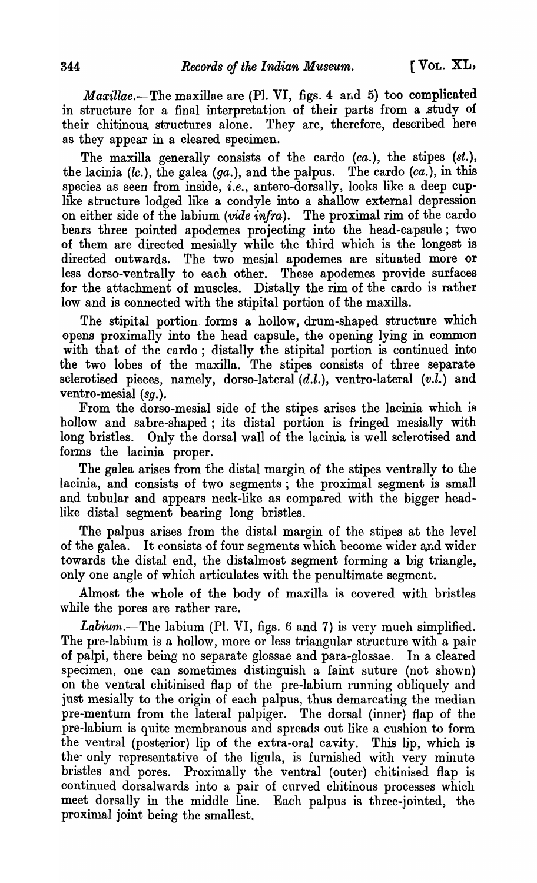*Maxillae.*-The maxillae are (Pl. VI, figs. 4 and 5) too complicated in structure for a final interpretation of their parts from a study of their chitinous- structures alone. They are, therefore, described here as they appear in a cleared specimen.

The maxilla generally consists of the cardo *(ca.),* the stipes *(st.),*  the lacinia (lc.), the galea (ga.), and the palpus. The cardo  $(ca.]$ , in this species as seen from inside, *i.e.,* antero-dorsally, looks like a deep cuplike structure lodged like a condyle into a shallow external depression on either side of the labium *(vide infra).* The proximal rim of the cardo bears three pointed apodemes projecting into the head-capsule; two of them are directed mesially while the third which is the longest is directed outwards. The two mesial apodemes are situated more or less dorso-ventrally to each other. These apodemes provide surfaces for the attachment of muscles. Distally the rim of the cardo is rather low and is connected with the stipital portion of the maxilla.

The stipital portion. forms a hollow, drum-shaped structure which opens proximally into the head capsule, the opening lying in common with that of the cardo; distally the stipital portion is continued into the two lobes of the maxilla. The stipes consists of three separate sclerotised pieces, namely, dorso-lateral  $(d.l.)$ , ventro-lateral  $(v.l.)$  and ventro-mesial *(sg.).* 

From the dorso-mesial side of the stipes arises the lacinia which is hollow and sabre-shaped; its distal portion is fringed mesially with long bristles. Only the dorsal wall of the lacinia is well sclerotised and forms the lacinia proper.

The galea arises from the distal margin of the stipes ventrally to the lacinia, and consists of two segments; the proximal segment is small and tubular and appears neck-like as compared with the bigger headlike distal segment bearing long bristles.

The palpus arises from the distal margin of the stipes at the level of the galea. It consists of four segments which become wider and wider towards the distal end, the distalmost segment forming a big triangle, only one angle of which articulates with the penultimate segment.

Almost the whole of the body of maxilla is covered with bristles while the pores are rather rare.

Labium.-The labium (Pl. VI, figs. 6 and 7) is very much simplified. The pre-labium is a hollow, more or less triangular structure with a pair of palpi, there being no separate glossae and para-glossae. In a cleared specimen, one can sometimes distinguish a faint suture (not shown) on the ventral chitinised flap of the pre-labium running obliquely and just mesially to the origin of each palpus, thus demarcating the median pre-mentum from the lateral palpiger. The dorsal (inner) flap of the pre-labium is quite membranous and spreads out like a cushion to form the ventral (posterior) lip of the extra-oral cavity. This lip, which is the' only representative of the ligula, is furnished with very minute bristles and pores. Proximally the ventral (outer) chitinised flap is continued dorsalwards into a pair of curved chitinous processes which meet dorsally in the middle line. Each palpus is three-jointed, the proximal joint being the smallest.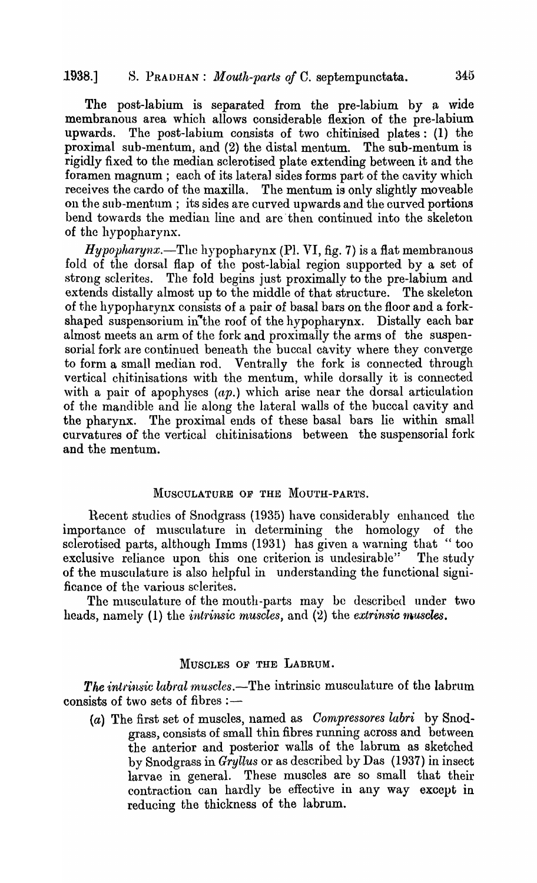The post-labium is separated from the pre-labium by a wide membranous area which allows considerable flexion of the pre-labium upwards. The post-labium consists of two chitinised plates: (1) the proximal sub-mentum, and (2) the distal mentum. The sub-mentum is rigidly fixed to the median sclerotised plate extending between it and the foramen magnum; each of its lateral sides forms part of the cavity which receives the cardo of the maxilla. The mentum is only slightly moveable on the sub-mentum; its sides are curved upwards and the curved portions bend towards the median line and are then continued into the skeleton of the hypopharynx.

*Hypopharynx.*—The hypopharynx (Pl. VI, fig. 7) is a flat membranous fold of the dorsal flap of the post-labial region supported by a set of strong sclerites. The fold begins just proximally to the pre-labium and extends distally almost up to the middle of that structure. The skeleton of the hypopharynx consists of a pair of basal bars on the floor and a forkshaped suspensorium in "the roof of the hypopharynx. Distally each bar almost meets an arm of the fork and proximally the arms of the suspensorial fork are continued beneath the buccal cavity where they converge to form a small median rod. Ventrally the fork is connected through vertical chitinisations with the mentum, while dorsally it is connected with a pair of apophyses  $(ap.)$  which arise near the dorsal articulation of the mandible and lie along the lateral walls of the buccal cavity and the pharynx. The proximal ends of these basal bars lie within small curvatures of the vertical chitinisations between the suspensorial fork and the mentum.

## MUSCULATURE OF THE MOUTH-PARTS.

Recent studies of Snodgrass (1935) have considerably enhanced the importance of musculature in determining the homology of the sclerotised parts, although Imms  $(1931)$  has given a warning that "too exclusive reliance upon this one criterion is undesirable" The study of the musculature is also helpful in understanding the functional significance of the various sclerites.

The musculature of the mouth-parts may be described under two heads, namely (1) the *intrinsic muscles*, and (2) the *extrinsic muscles*.

## MUSCLES OF THE LABRUM.

The intrinsic labral muscles.—The intrinsic musculature of the labrum consists of two sets of fibres  $:$   $-$ 

(a) The first set of muscles, named as *Compressores labri* by Snodgrass, consists of small thin fibres running across and between the anterior and posterior walls of the labrum as sketched by Snodgrass in *Gryllus* or as described by Das (1937) in insect larvae in general. These muscles are so small that their contraction can hardly be effective in any way except in reducing the thickness of the labrum.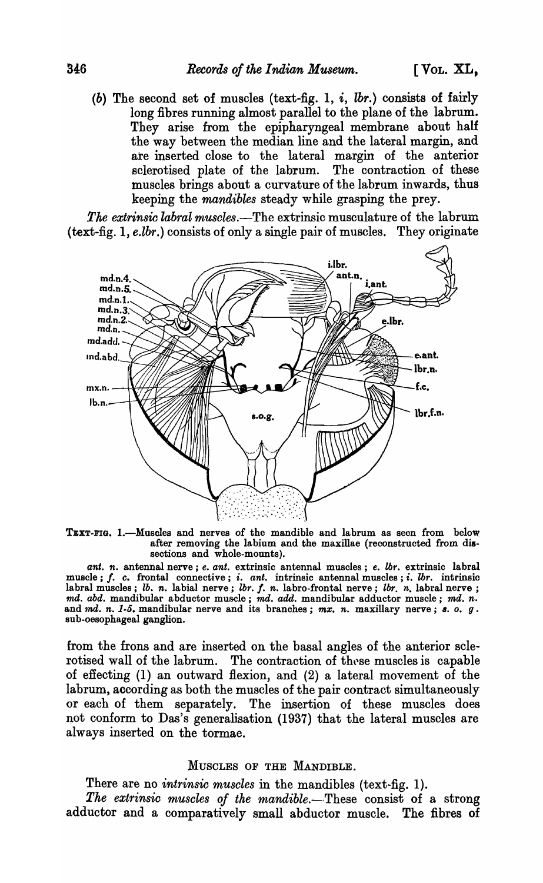(b) The second set of muscles (text-fig. 1, *i,* lbr.) consists of fairly long fibres running almost parallel to the plane of the labrum. They arise from the epipharyngeal membrane about half the way between the median line and the lateral margin, and are inserted close to the lateral margin of the anterior sclerotised plate of the labrum. The contraction of these muscles brings about a curvature of the labrum inwards, thus keeping the *mandibles* steady while grasping the prey.

*The extrinsic labral muscles.*—The extrinsic musculature of the labrum (text-fig. 1, *e.lbr.)* consists of only a single pair of muscles. They originate



TEXT-FIG. 1.-Muscles and nerves of the mandible and labrum as seen from below after removing the labium and the maxillae (reconstructed from dissections and whole-mounts).

ant. *n*. antennal nerve; *e. ant.* extrinsic antennal muscles; *e. lbr.* extrinsic labral muscle; *I.* c. frontal connective; i. *ant.* intrinsic antennal muscles; i. *lbr.* intrinsic labral muscles; *lb. n.* labial nerve; *lbr.* f. *n.* labro-frontal nerve; *lbr. n.* labral nerve; md. *abd.* mandibular abductor muscle; *md. add.* mandibular adductor muscle; md. n. and md. n. 1-5. mandibular nerve and its branches; mx. n. maxillary nerve; s. o. g. sub-oesophageal ganglion.

from the frons and are inserted on the basal angles of the anterior sclerotised wall of the labrum. The contraction of these muscles is capable of effecting (1) an outward flexion, and (2) a lateral movement of the labrum, according as both the muscles of the pair contract simultaneously or each of them separately. The insertion of these muscles does not conform to Das's generalisation (1937) that the lateral muscles are always inserted on the tormae.

#### MUSCLES OF THE MANDIBLE.

There are no *intrinsic muscles* in the mandibles (text-fig. 1).

*The extrinsic muscles oj the mandible.-·These* consist of a strong adductor and a comparatively small abductor muscle. The fibres of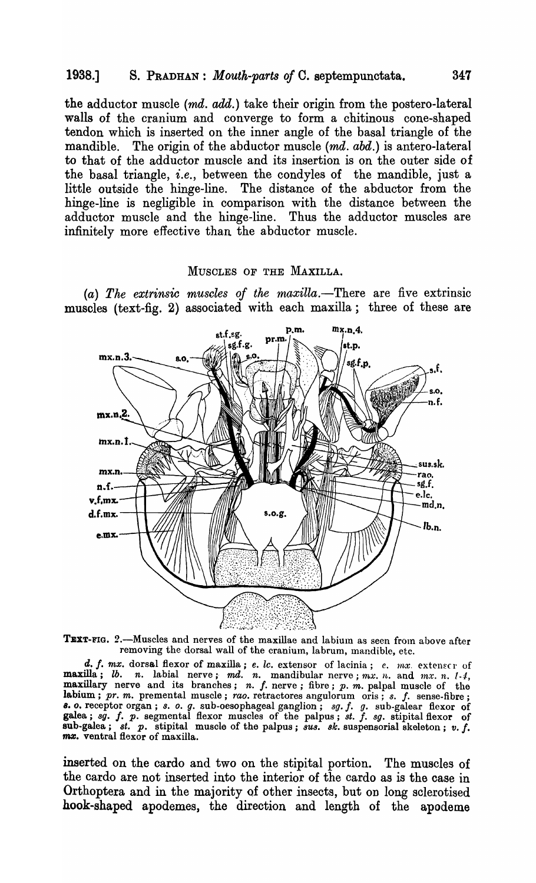## 1938.] S. PRADHAN: *Mouth-parts of* c. septempunctata. 347

the adductor muscle (md. add.) take their origin from the postero-Iateral walls of the cranium and converge to form a chitinous cone-shaped tendon which is inserted on the inner angle of the basal triangle of the mandible. The origin of the abductor muscle (md. *abd.)* is antero-Iateral to that of the adductor muscle and its insertion is on the outer side of the basal triangle, *i.e.,* between the condyles of the mandible, just a little outside the hinge-line. The distance of the abductor from the hinge-line is negligible in comparison with the distance between the adductor muscle and the hinge-line. Thus the adductor muscles are infinitely more effective than the abductor muscle.

#### MUSCLES OF THE MAXILLA.

*(a) The extrinsic muscles of the maxilla.-There* are five extrinsic muscles (text-fig. 2) associated with each maxilla; three of these are



TEXT-FIG. 2.-Muscles and nerves of the maxillae and labium as seen from above after removing the dorsal wall of the cranium, labrum, mandible, etc.

d. f. mx. dorsal flexor of maxilla; *e. lc.* extensor of lacinia; *e. mx.* extensor of maxilla; *lb. n.* labial nerve; *md. n.* mandibular nerve; *mx. n.* and *mx. n.* [.4, maxillary nerve and its branches; *n. f.* nerve; fibre; *p. m.* palpal muscle of the labium; *pr. m.* premental muscle; *rao.* retractores angulorum oris; *s. f.* sense-fibre; 8. o. receptor organ; *S.* o. *g.* sub·oesophageal ganglion; *sg.* f. *g.* sub-galear flexor of galea; *sg.* f. *p.* segmental flexor muscles of the palpus; *st.* f. *sg.* stipital flexor of sub-galea; *st. p.* stipital muscle of the palpus; *sus. sk.* suspensorial skeleton; *v. f.* mx. ventral flexor of maxilla.

inserted on the cardo and two on the stipital portion. The muscles of the cardo are not inserted into the interior of the cardo as is the case in Orthoptera and in the majority of other insects, but on long sclerotised hook-shaped apodemes, the direction and length of the apodeme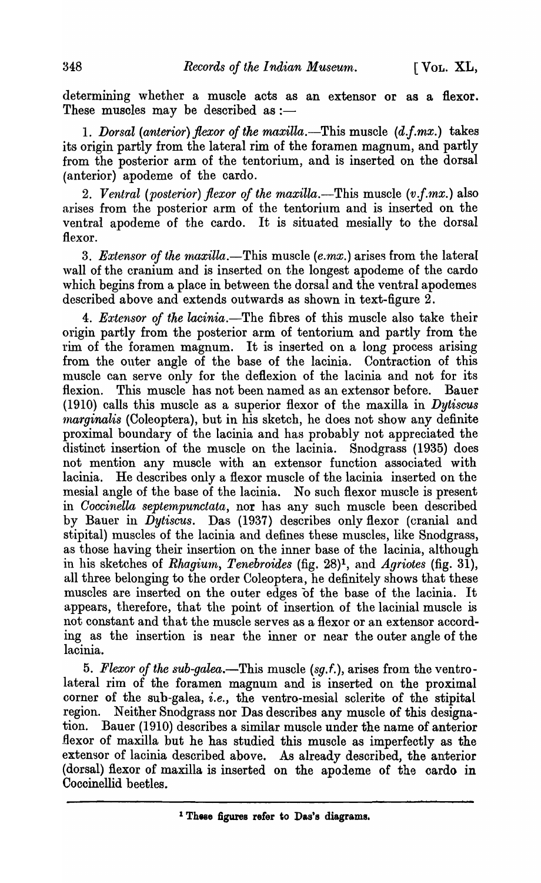determining whether a muscle acts as an extensor or as a flexor. These muscles may be described as  $:$ --

1. *Dorsal (anterior) flexor of the maxilla.*—This muscle  $(d.f.mx.)$  takes its origin partly from the lateral rim of the foramen magnum, and partly from the posterior arm of the tentorium, and is inserted on the dorsal (anterior) apodeme of the cardo.

2. Ventral (posterior) flexor of the maxilla.—This muscle *(v.f.mx.)* also arises from the posterior arm of the tentorium and is inserted on the ventral apodeme of the cardo. It is situated mesially to the dorsal flexor.

*3. Extensor of the* maxilla.-This muscle *(e:mx.)* arises from the lateral wall of the cranium and is inserted on the longest apodeme of the cardo which begins from a place in between the dorsal and the ventral apodemes described above and extends outwards as shown in text-figure 2.

4. *Extensor of the lacinia*.—The fibres of this muscle also take their origin partly from the posterior arm of tentorium and partly from the rim of the foramen magnum. It is inserted on a long process arising from the outer angle of the base of the lacinia. Contraction of this muscle can serve only for the deflexion of the lacinia and not for its flexion. This muscle has not been named as an extensor before. Bauer (1910) calls this muscle as a superior flexor of the maxilla in *Dytiscus narginalis* (Coleoptera), but in his sketch, he does not show any definite proximal boundary of the lacinia and has probably not appreciated the distinct insertion of the muscle on the lacinia. Snodgrass (1935) does not mention any muscle with an extensor function associated with lacinia. He describes only a flexor muscle of the lacinia inserted on the mesial angle of the base of the lacinia. No such flexor muscle is present in *Coccinella septempunctata*, nor has any such muscle been described by Bauer in *Dytiscus.* Das (1937) describes only flexor (cranial and stipital) muscles of the lacinia and defines these muscles, like Snodgrass, as those having their insertion on the inner base of the lacinia, although in his sketches of *Rhagium, Tenebroides* (fig. 28)<sup>1</sup>, and *Agriotes* (fig. 31), all three belonging to the order Coleoptera., he definitely shows that these muscles are inserted on the outer edges of the base of the lacinia. It appears, therefore, that the point of insertion of the lacinial muscle is not constant and that the muscle serves as a flexor or an extensor according as the insertion is near the inner or near the outer angle of the lacinia.

*5. Flex01' of the sub-galea.-This* muscle *(sg.f.),* arises from the ventrolateral rim of the foramen magnum and is inserted on the proximal corner of the sub-galea, *i.e.,* the ventro-mesial sclerite of the stipital region. Neither Snodgrass nor Das describes any muscle of this designation. Bauer (1910) describes a similar muscle under the name of anterior .flexor of maxilla but he has studied this muscle as imperfectly as the extensor of lacinia described above. As already described, the anterior (dorsal) flexor of maxilla is inserted on the apodeme of the cardo in Cocoinellid beetles.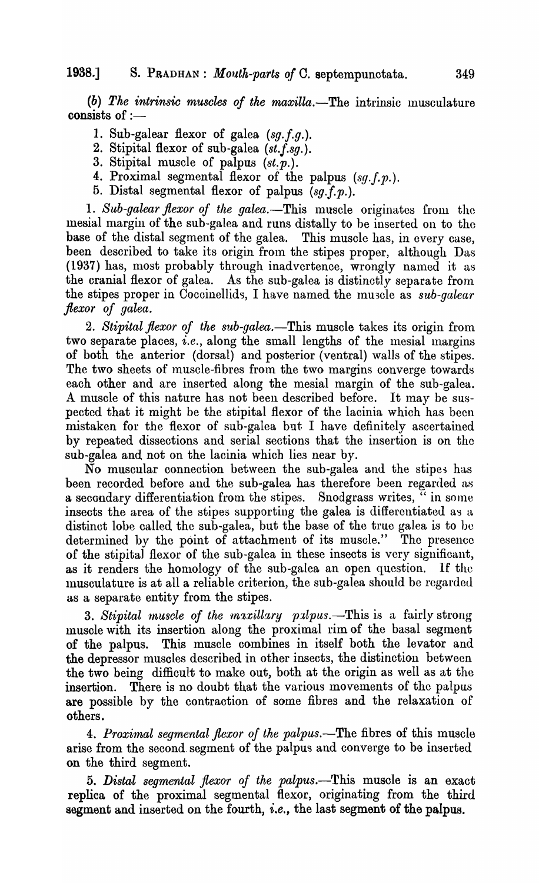*(b) The intrinsic muscles of the maxilla.*-The intrinsic musculature consists of :-

- 1. Sub-galear flexor of galea *(sg.f.g.).*
- 2. Stipital flexor of sub-galea *(st.f.sg.).*
- 3. Stipital muscle of palpus  $(st.p.)$ .
- 4. Proximal segmental flexor of the palpus *(sg.f.p.).*
- 5. Distal segmental flexor of palpus *(sg.f.p.).*

1. Sub-galear flexor of the galea.—This muscle originates from the mesial margin of the sub-galea and runs distally to be inserted on to the base of the distal segment of the galea. This muscle has, in every case, been described to take its origin from the stipes proper, although Das (1937) has, most probably through inadvertence, wrongly named it as the cranial flexor of galea. As the sub-galea is distinctly separate frorn the stipes proper in Coccinellids, I have named the muscle as *sub-qalear flexor of galea.* 

2. *Stipital flexor of the sub-galea.*—This muscle takes its origin from two separate places, *i.e.*, along the small lengths of the mesial margins of both the anterior (dorsal) and posterior (ventral) walls of the stipes. The two sheets of muscle-fibres from the two margins converge towards each other and are inserted along the mesial margin of the sub-galea. A muscle of this nature has not been described before. It may be suspected that it might be the stipital flexor of the lacinia which has been mistaken for the flexor of sub-galea but I have definitely ascertained by repeated dissections and serial sections that the insertion is on the sub-galea and not on the lacinia which lies near by.

No muscular connection between the sub-galea and the stipes has been recorded before and the sub-galea has therefore been regarded as a secondary differentiation from the stipes. Snodgrass writes, " in some insects the area of the stipes supporting the galea is differentiated as a. distinct lobe called the sub-galea, but the base of the true galea is to be determined by the point of attachment of its muscle." The presence of the stipitaJ flexor of the sub-galea in these insects is very significant, as it renders the homology of the sub-galea an open question. If the Inusculature is at all a reliable criterion, the sub-galea should be regarded as a separate entity from the stipes.

3. *Stipital muscle of the maxillary palpus.*—This is a fairly strong muscle with its insertion along the proximal rim of the basal segment of the palpus. This muscle combines in itself both the levator and the depressor muscles described in other insects, the distinction between the two being difficult to make out, both at the origin as well as at the insertion. There is no doubt that the various movements of the palpus are possible by the contraction of some fibres and the relaxation of others.

4. *Proximal segmental flexor of the palpus*.—The fibres of this muscle arise from the second. segment of the palpus and converge to be inserted on the third segment.

*5. Distal segmental flexor of the palpus.-This* muscle is an exact replica of the proximal segmental flexor, originating from the third segment and inserted on the fourth, *i.e.,* the last segment of the palpus.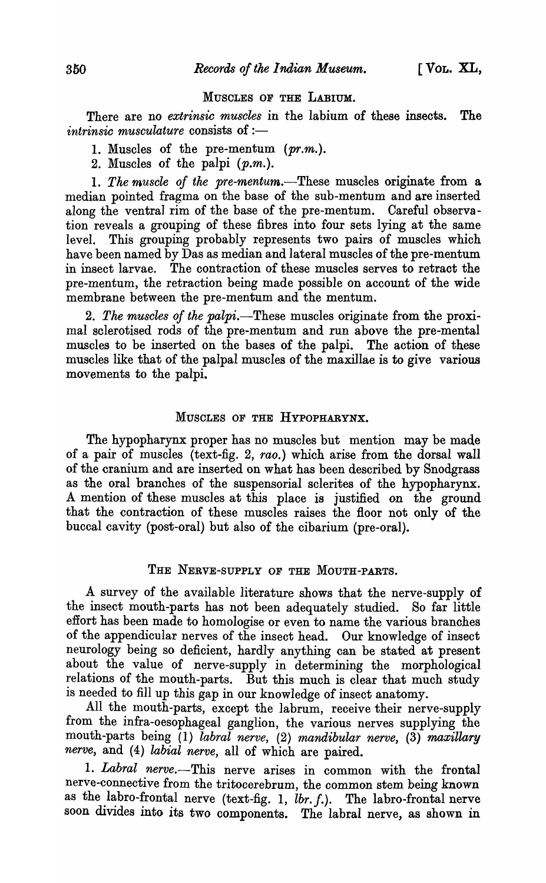## MUSCLES OF THE LABIUM.

There are no *extrinsic muscles* in the labium of these insects. The *intrinsic musculature consists of :—* 

1. Muscles of the pre-mentum  $(pr.m.).$ 

2. Muscles of the palpi  $(p.m.).$ 

1. The muscle of the pre-mentum.-These muscles originate from a median pointed fragma on the base of the sub-mentum and are inserted along the ventral rim of the base of the pre-mentum. Careful observation reveals a grouping of these fibres into four sets lying at the same level. This grouping probably represents two pairs of muscles which have been named by Das as median and lateral muscles of the pre-mentum in insect larvae. The contraction of these muscles serves to retract the pre-mentum, the retraction being made possible on account of the wide membrane between the pre-mentum and the mentum.

2. The muscles of the palpi.—These muscles originate from the proximal sclerotised rods of the pre-mentum and run above the pre-mental muscles to be inserted on the bases of the palpi. The action of these muscles like that of the palpal muscles of the maxillae is to give various movements to the palpi.

### MUSCLES OF THE HYPOPHARYNX.

The hypopharynx proper has no muscles but mention may be made of a pair of muscles (text-fig. 2, *rao.)* which arise from the dorsal wall of the cranium and are inserted on what has been described by Snodgrass as the oral branches of the suspensorial sclerites of the hypopharynx. A mention of these muscles at this place is justified on the ground that the contraction of these muscles raises the floor not only of the buccal cavity (post-oral) but also of the cibarium (pre-oral).

## THE NERVE-SUPPLY OF THE MOUTH-PARTS.

A survey of the available literature shows that the nerve-supply of the insect mouth-parts has not been adequately studied. So far little effort has been made to homologise or even to name the various branches of the appendicular nerves of the insect head. Our knowledge of insect neurology being so deficient, hardly anything can be stated at present about the value of nerve-supply in determining the morphological relations of the mouth-parts. But this much is clear that much study is needed to fill up this gap in our knowledge of insect anatomy.

All the mouth-parts, except the labrum, receive their nerve-supply from the infra-oesophageal ganglion, the various nerves supplying the mouth-parts being (1) *labral nerve,* (2) *mandibular nerve,* (3) *maxillary nerve,* and (4) *labial nerve,* all of which are paired.

1. *Labral nerve.-This* nerve arises in common with the frontal nerve-connective from the tritocerebrum, the common stem being known as the labro-frontal nerve (text-fig. 1, *lbr. f.).* The labro-frontal nerve soon divides into its two components. The labral nerve, as shown in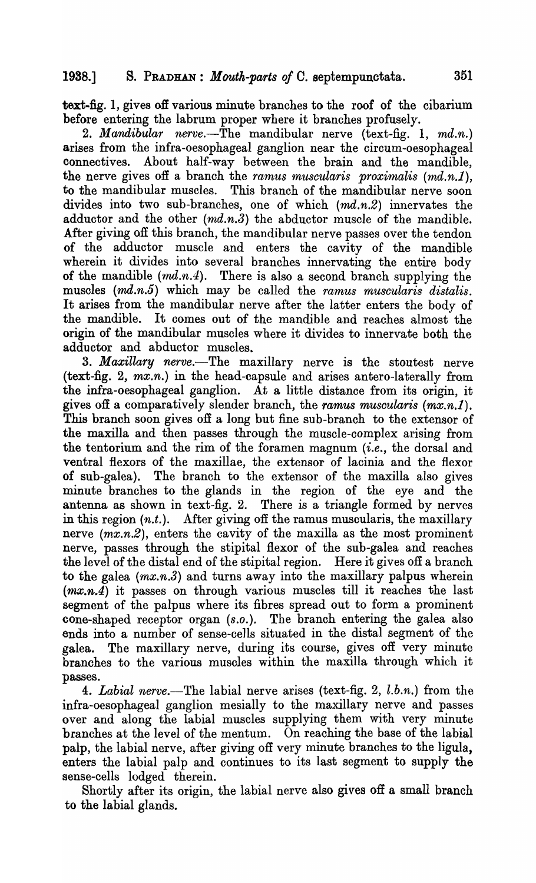text-fig. 1, gives off various minute branches to the roof of the cibarium before entering the labrum proper where it branches profusely.

2. *Mandibular nerve.*—The mandibular nerve (text-fig. 1, md.n.) arises from the infra-oesophageal ganglion near the circum -oesophageal connectives. About half-way between the brain and the mandible, the nerve gives off a branch the *ramus muscularis proximalis*  $(md.n.1)$ , to the mandibular muscles. This branch of the mandibular nerve soon divides into two sub-branches, one of which  $(md.n.2)$  innervates the adductor and the other  $(md.n.3)$  the abductor muscle of the mandible. After giving off this branch, the mandibular nerve passes over the tendon of the adductor muscle and enters the cavity of the mandible wherein it divides into several branches innervating the entire body of the mandible  $(md.n.4)$ . There is also a second branch supplying the muscles (md.n.5) which may be called the *ramus muscularis distalis.*  It arises from the mandibular nerve after the latter enters the body of the mandible. It comes out of the mandible and reaches almost the origin of the mandibular muscles where it divides to innervate both the adductor and abductor muscles.

*3. Maxillary nerve.-The* maxillary nerve is the stoutest nerve (text-fig. 2, *mx.n.)* in the head-capsule and arises antero-Iaterally from the infra-oesophageal ganglion. At a little distance from its origin, it gives off a comparatively slender branch, the *ramus muscularis* (mx. n.1). This branch soon gives off a long but fine sub-branch to the extensor of the maxilla and then passes through the muscle-complex arising from the tentorium and the rim of the foramen magnum *(i.e.,* the dorsal and ventral flexors of the maxillae, the extensor of lacinia and the flexor of sub-galea). The branch to the extensor of the maxilla also gives minute branches to the glands in the region of the eye and the antenna as shown in text-fig. 2. There is a triangle formed by nerves in this region  $(n.t.)$ . After giving off the ramus muscularis, the maxillary nerve  $(mx, n.2)$ , enters the cavity of the maxilla as the most prominent nerve, passes through the stipital flexor of the sub-galea and reaches the level of the distal end of the stipital region. Here it gives off a branch to the galea  $(mx, n, 3)$  and turns away into the maxillary palpus wherein  $(mx.n.4)$  it passes on through various muscles till it reaches the last segment of the palpus where its fibres spread out to form a prominent cone-shaped receptor organ (s.o.). The branch entering the galea also ends into a number of sense-cells situated in the distal segment of the galea. The maxillary nerve, during its course, gives off very minute branches to the various muscles within the maxilla through which it passes.

*4. Labial nerve.-The* labial nerve arises (text-fig. 2, *l.b.n.)* from the infra-oesophageal ganglion mesially to the maxillary nerve and passes over and along the labial muscles supplying them with very minute branches at the level of the mentum. On reaching the base of the labial palp, the labial nerve, after giving off very minute branches to the ligula, enters the labial palp and continues to its last segment to supply the sense-cells lodged therein.

Shortly after its origin, the labial nerve also gives off a small branch to the labial glands.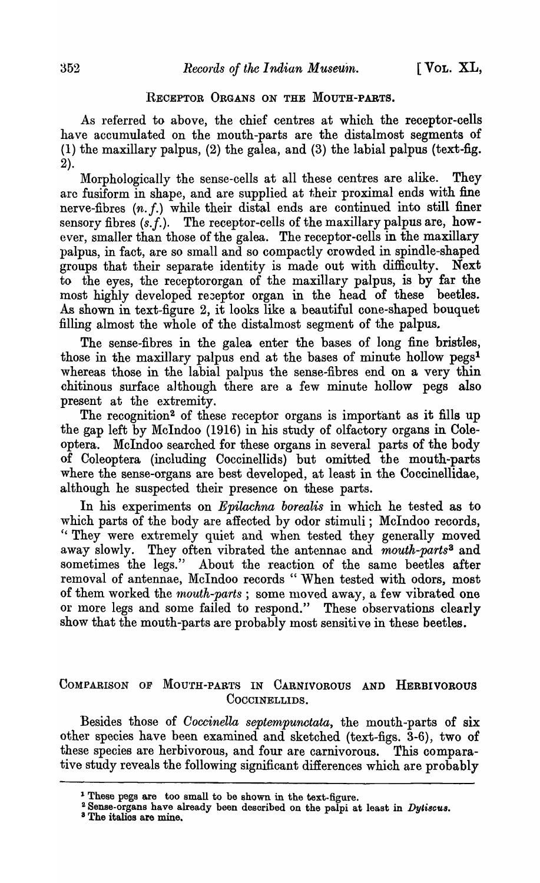### RECEPTOR ORGANS ON THE MOUTH-PARTS.

As referred to above, the chief centres at which the receptor-cells have accumulated on the mouth-parts are the distalmost segments of (1) the maxillary palpus, (2) the galea, and (3) the labial palpus (text-fig. 2).

Morphologically the sense-cells at all these centres are alike. They are fusiform in shape, and are supplied at their proximal ends with fine nerve-fibres  $(n, f)$ , while their distal ends are continued into still finer sensory fibres  $(s.f.)$ . The receptor-cells of the maxillary palpus are, however, smaller than those of the galea. The receptor-cells in the maxillary palpus, in fact, are so small and so compactly crowded in spindle-shaped groups that their separate identity is made out with difficulty.. Next to the eyes, the receptororgan of the maxillary palpus, is by far the most highly developed reseptor organ in the head of these beetles. As shown in text-figure 2, it looks like a beautiful cone-shaped bouquet filling almost the whole of the distalmost segment of the palpus.

The sense-fibres in the galea enter the bases of long fine bristles, those in the maxillary palpus end at the bases of minute hollow pegs<sup>1</sup> whereas those in the labial palpus the sense-fibres end on a very thin chitinous surface although there are a few minute hollow pegs also present at the extremity.

The recognition<sup>2</sup> of these receptor organs is important as it fills up the gap left by Mclndoo (1916) in his study of olfactory organs in Coleoptera. Mclndoo searched for these organs in several parts of the body of Coleoptera (including Coccinellids) but omitted the mouth-parts where the sense-organs are best developed, at least in the Coccinellidae, although he suspected their presence on these parts.

In his experiments on *Epilachna borealis* in which he tested as to which parts of the body are affected by odor stimuli; McIndoo records, " They were extremely quiet and when tested they generally moved away slowly. They often vibrated the antennae and *mouth-parts*<sup>3</sup> and sometimes the legs." About the reaction of the same beetles after removal of antennae, McIndoo records " When tested with odors, most of them worked the *mouth-parts;* some moved away, a few vibrated one or more legs and some failed to respond." These observations clearly show that the mouth-parts are probably most sensitive in these beetles.

## COMPARISON OF MOUTH-PARTS IN CARNIVOROUS AND HERBIVOROUS COCCINELLIDS.

Besides those of *Ooccinella septempunctata,* the mouth-parts of six other species have been examined and sketched (text-figs. 3-6), two of these species are herbivorous, and four are carnivorous. This comparative study reveals the following significant differences which are probably

<sup>1</sup> These pegs are too small to be shown in the text-figure.

<sup>&</sup>lt;sup>2</sup> Sense-organs have already been described on the palpi at least in *Dytiscus*.

a The italios are mine.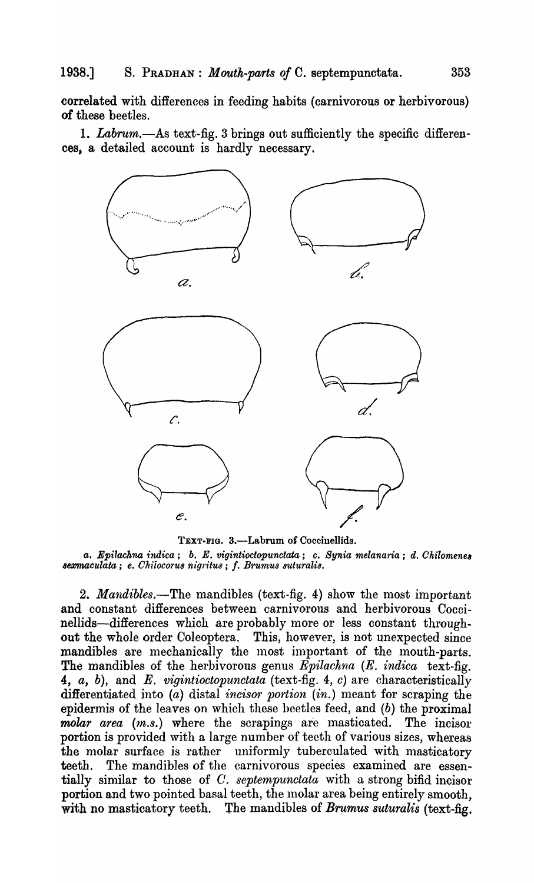correlated with differences in feeding habits (carnivorous or herbivorous) of these beetles.

*1. Labrum.-As* text-fig. 3 brings out sufficiently the specific differences, a detailed account is hardly necessary.



TEXT-FIG. 3.-Labrum of Coccinellids.

*a. Epilachna indica; b. E. vigintioctopunctata;* c. *Synia melanaria; d. Ohilomene, 8ezmaculata; e. Oh.iiocoru8 nigritu8* ; f. *Brumu8 8uturalis.* 

2. *Mandibles.*—The mandibles (text-fig. 4) show the most important and constant differences between carnivorous and herbivorous Coccinellids-differences which are probably more or less constant throughout the whole order Coleoptera. This, however, is not unexpected since mandibles are mechanically the most important of the mouth-parts. The mandibles of the herbivorous genus *Epilachna (E. indica* text-fig. *4, a, b),* and *E. vigintioctopunctata* (text-fig. 4, *c)* are characteristically differentiated into (a) distal *incisor portion* (in.) meant for scraping the epidermis of the leaves on which these beetles feed, and (b) the proximal *molar area (m.s.)* where the scrapings are masticated. The incisor portion is provided with a large number of teeth of various sizes, whereas the molar surface is rather uniformly tuberculated with masticatory teeth. The mandibles of the carnivorous species examined are essentially similar to those of *C. septempunctata* with a strong bifid incisor portion and two pointed basal teeth, the molar area being entirely smooth, with no masticatory teeth. The mandibles of *Brumus suturalis* (text-fig.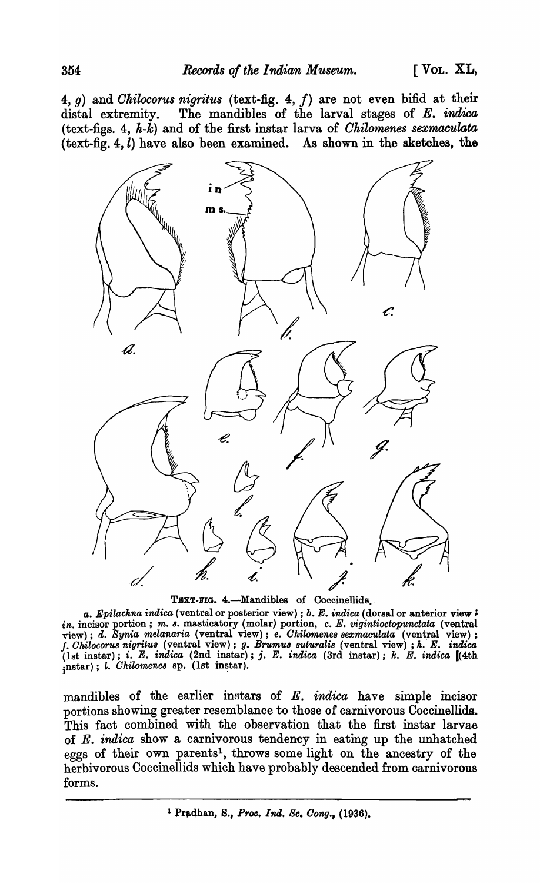4, *g)* and *Ohilocorus nigritus* (text-fig. 4, *f)* are not even bifid at their distal extremity. The mandibles of the larval stages of E. *indica*  (text-figs. 4, h-k) and of the first instar larva of *Ohilomenes sexmaculata*  (text-fig. 4, l) have also been examined. As shown in the sketches, the



TEXT-FIG. 4.-Mandibles of Coccinellids.

a. Epilachna indica (ventral or posterior view) ; *b. E. indica* (dorsal or anterior view: *in.* incisor portion; *m. s.* masticatory (molar) portion, *c. E. vigintioctopunctata* (ventral view); *d. Synia melanaria* (ventral view); *e. Chilomenes sexmaculata* (ventral view); view); d. Synia melanaria (ventral view); e. *Chilomenes sexmaculata* (ventral view); *f. Chilocorus nigritus* (ventral view); *g. Brumus suturalis* (ventral view); *h. E. indica* (1st instar); i. E. *indica* (2nd ins tar) ; j. E. *indica* (3rd instar); k. E. *indica* .(4th  $\sum_{i}$ nstar);  $l.$  *Chilomenes* sp. (1st instar).

mandibles of the earlier instars of E. *indica* have simple incisor portions showing greater resemblance to those of carnivorous Coccinellids. This fact combined with the observation that the first instar larvae of E. *indica* show a carnivorous tendency in eating up the unhatched eggs of their own parentsl, throws some light on the ancestry of the herbivorous Coccinellids which have probably descended from carnivorous forms.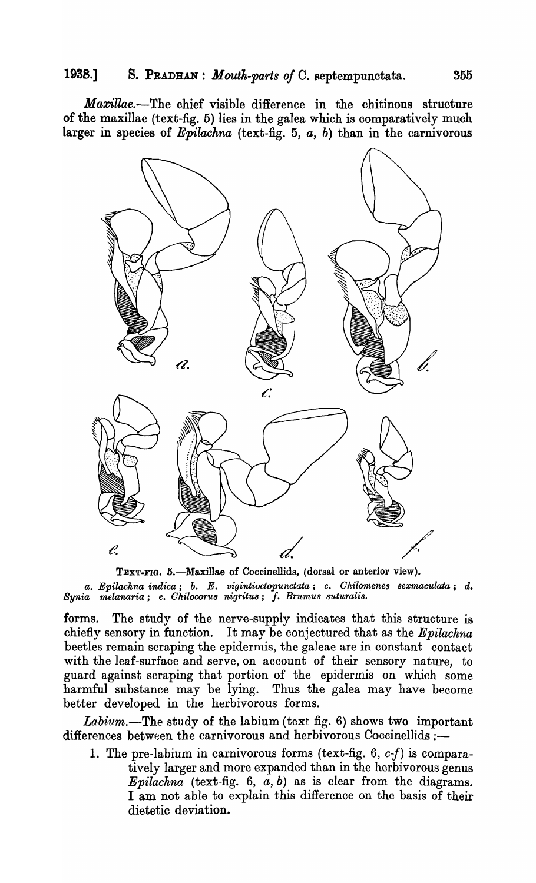*Maxillae.-The* chief visible difference in the chitinous structure of the maxillae (text-fig. 5) lies in the galea which is comparatively much larger in species of *Epilachna* (text-fig. 5, *a,* h) than in the carnivorous



TEXT-FIG. 5.-Maxillae of Coccinellids, (dorsal or anterior view). *a. Epilachna indica; b. E. vigintioctopunctata; c. Ghilomenes 8exmaculata;* d. *8ynia melanaria;* e. *Chilocoru8 nigritu8;* f. *Brumu8 suturalis.* 

forms. The study of the nerve-supply indicates that this structure is chiefly sensory in function. It may be conjectured that as the *Epilachna*  beetles remain scraping the epidermis, the galeae are in constant contact with the leaf-surface and serve, on account of their sensory nature, to guard against scraping that portion of the epidermis on which some harmful substance may be lying. Thus the galea may have become better developed in the herbivorous forms.

Labium.-The study of the labium (text fig. 6) shows two important differences between the carnivorous and herbivorous Coccinellids :-

1. The pre-labium in carnivorous forms (text-fig. 6, *cj)* is comparatively larger and more expanded than in the herbivorous genus *Epilachna* (text-fig. 6, *a, b)* as is clear from the diagrams. I am not able to explain this difference on the basis of their dietetic deviation.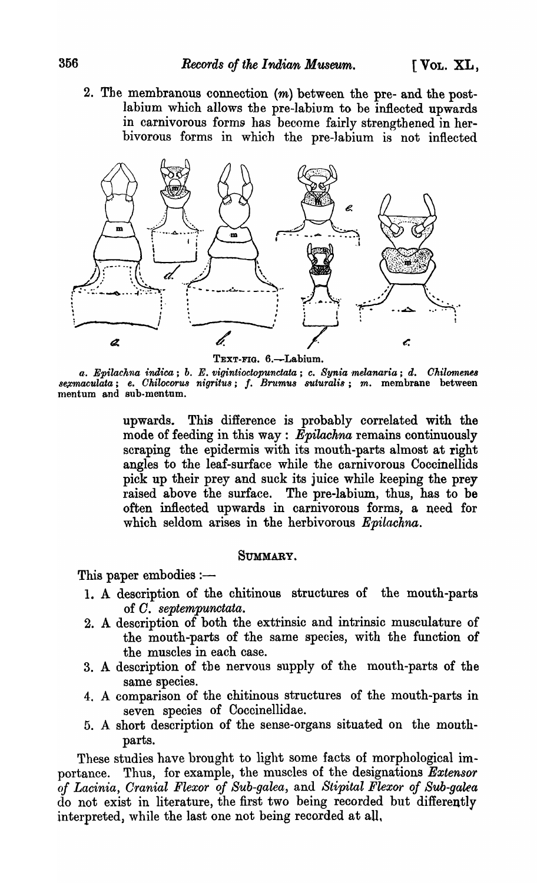2. The membranous connection (m) between the pre- and the postlabium which allows the pre-labium to be inflected upwards in carnivorous forms has become fairly strengthened in herbivorous forms in which the pre-labium is not inflected



TEXT-FIG. 6.-Labium.

a. *Epilachna indica*; b. *E. vigintioctopunctata*; c. Synia melanaria; d. Chilomenes *8e;rmaculata; e. Chilocorus nigritus; f. Brumus suturalis; m. membrane between* mentum and sub-mentum.

> upwards. This difference is probably correlated with the mode of feeding in this way: *Epilachna* remains continuously scraping the epidermis with its mouth-parts almost at right angles to the leaf-surface while the carnivorous Coccinellids pick up their prey and suck its juice while keeping the prey raised above the surface. The pre-labium, thus, has to be often inflected upwards in carnivorous forms, a need for which seldom arises in the herbivorous *Epilachna.*

#### SUMMARY.

This paper embodies  $:$   $-$ 

- 1. A description of the chitinous structures of the mouth-parts of *O. septempunctata.*
- 2. A description of both the extrinsic and intrinsic musculature of the mouth-parts of the same species, with the function of the muscles in each case.
- 3. A description of the nervous supply of the mouth-parts of the same species.
- 4. A comparison of the chitinous structures of the mouth-parts in seven species of Coccinellidae.
- 5. A short description of the sense-organs situated on the mouthparts.

These studies have brought to light some facts of morphological importance. Thus, for example, the muscles of the designations *Extensor of Lacinia, Oranial Flexor of Sub-galea,* and *Stipital Flexor of Sub-galea*  do not exist in literature, the first two being recorded but differently interpreted, while the last one not being recorded at all.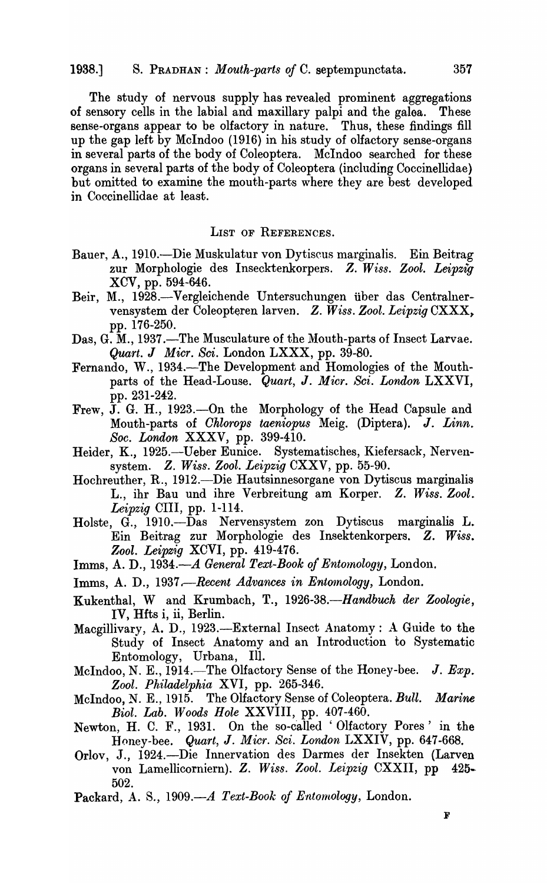The study of nervous supply has revealed prominent aggregations of sensory cells in the labial and maxillary palpi and the galea. These sense-organs appear to be olfactory in nature. Thus, these findings fill up the gap left by McIndoo (1916) in his study of olfactory sense-organs in several parts of the body of Coleoptera. Mclndoo searched for these organs in several parts of the body of Coleoptera (including Coccinellidae) but omitted to examine the mouth-parts where they are best developed in Coccinellidae at least.

#### LIST OF REFERENCES.

- Bauer, A., 1910.-Die Muskulatur von Dytiscus marginalis. Ein Beitrag zur Morphologie des Insecktenkorpers. Z. *Wiss. Zool. Leipzig*  XCV, pp. 594-646.
- Beir, M., 1928.-Vergleichende Untersuchungen tiber das Centralnervensystem der Coleopteren larven. *Z. Wiss. Zool. Leipzig* CXXX> pp. 176-250.
- Das, G. M., 1937.—The Musculature of the Mouth-parts of Insect Larvae. *Quart.* J *Micr. Sci.* London LXXX, pp. 39-80.
- Fernando, W., 1934.—The Development and Homologies of the Mouthparts of the Head-Louse. *Quart,* J. *Mic'r. Sci. London* LXXVI, pp. 231-242.
- Frew, J. G. H., 1923.-- On the Morphology of the Head Capsule and Mouth-parts of *Ohlo1"ops taeniopus* Meig. (Diptera). J. *Linn. Soc. London* XXXV, pp. 399-410.
- Heider, K., 1925.---Ueber Eunice. Systematisches, Kiefersack, Nervensystem. *Z. Wis8. Zool. Leipzig* CXXV, pp. 55-90.
- Hochreuther, R., 1912.—Die Hautsinnesorgane von Dytiscus marginalis L., ihr Bau und ihre Verbreitung am Korper. Z. Wiss. Zool. *Leipzig* CIII, pp. 1-114.
- Holste, G., 1910.-Das Nervensystem zon Dytiscus marginalis L. Ein Beitrag zur Morphologie des Insektenkorpers. *Z. Wiss. Zool. Leipzig XCVI*, pp. 419-476.
- Imms, A. D., 1934.—A General Text-Book of Entomology, London.
- Imms, A. D., 1937. Recent Advances in Entomology, London.
- Kukenthal, W and Krumbach, T., 1926-38.-*Handbuch der Zoologie*, IV, Hfts i, ii, Berlin.
- Macgillivary, A. D., 1923.—External Insect Anatomy: A Guide to the Study of Insect Anatomy and an Introduction to Systematic Entomology, Urbana, Ill.
- McIndoo, N. E., 1914.—The Olfactory Sense of the Honey-bee. J. Exp. *Zool. Philadelphia* XVI, pp. 265-346.
- McIndoo, N. E., 1915. The Olfactory Sense of Coleoptera. *Bull. Marine Biol. Lab. Woods Hole* XXVIII, pp. 407-460.
- Newton, H. C. F., 1931. On the so-called 'Olfactory Pores' in the Houey-bee. *Quart,* J. *Micr. Sci. London* LXXIV, pp. 647-668.
- Orlov, J., 1924.--Die Innervation des Darmes der Insekten (Larven von Lamellicorniern). *Z. Wiss. Zool. Leipzig* CXXII, pp 425-· 502.
- Packard, A. S., 1909.—A Text-Book of Entomology, London.